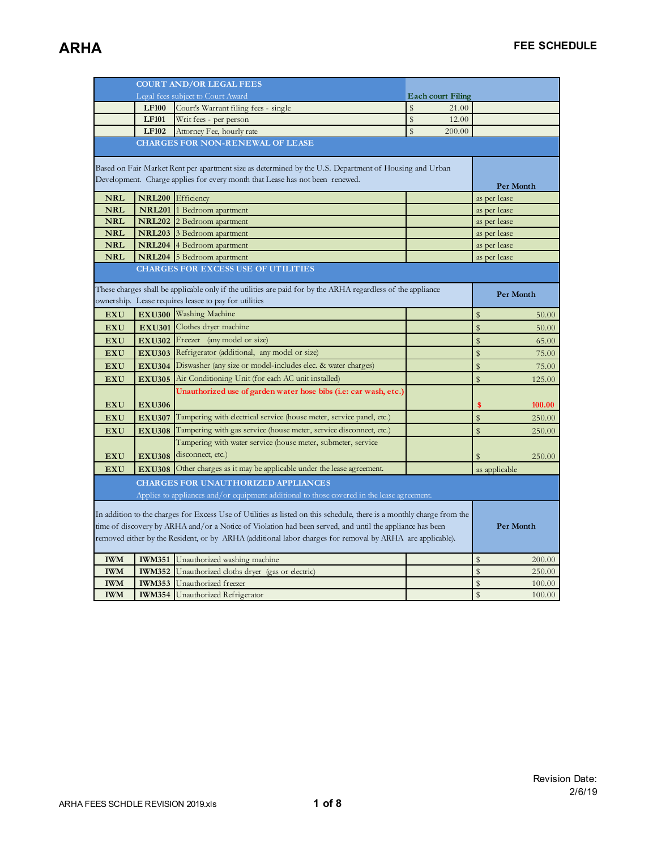|                                                                                                          |                                                                                                                       | <b>COURT AND/OR LEGAL FEES</b>                                                                                                                                        |                          |                       |  |
|----------------------------------------------------------------------------------------------------------|-----------------------------------------------------------------------------------------------------------------------|-----------------------------------------------------------------------------------------------------------------------------------------------------------------------|--------------------------|-----------------------|--|
|                                                                                                          |                                                                                                                       | Legal fees subject to Court Award                                                                                                                                     | <b>Each court Filing</b> |                       |  |
|                                                                                                          | <b>LF100</b>                                                                                                          | Court's Warrant filing fees - single                                                                                                                                  | \$<br>21.00              |                       |  |
|                                                                                                          | <b>LF101</b>                                                                                                          | Writ fees - per person                                                                                                                                                | \$<br>12.00              |                       |  |
|                                                                                                          | <b>LF102</b>                                                                                                          | Attorney Fee, hourly rate                                                                                                                                             | \$<br>200.00             |                       |  |
|                                                                                                          |                                                                                                                       | <b>CHARGES FOR NON-RENEWAL OF LEASE</b>                                                                                                                               |                          |                       |  |
|                                                                                                          |                                                                                                                       |                                                                                                                                                                       |                          |                       |  |
|                                                                                                          |                                                                                                                       | Based on Fair Market Rent per apartment size as determined by the U.S. Department of Housing and Urban                                                                |                          |                       |  |
| Development. Charge applies for every month that Lease has not been renewed.                             | Per Month                                                                                                             |                                                                                                                                                                       |                          |                       |  |
| <b>NRL</b>                                                                                               |                                                                                                                       | NRL200 Efficiency                                                                                                                                                     |                          | as per lease          |  |
| <b>NRL</b>                                                                                               |                                                                                                                       | NRL201 1 Bedroom apartment                                                                                                                                            |                          | as per lease          |  |
| <b>NRL</b>                                                                                               |                                                                                                                       | NRL202 2 Bedroom apartment                                                                                                                                            |                          | as per lease          |  |
| <b>NRL</b>                                                                                               |                                                                                                                       | <b>NRL203</b> 3 Bedroom apartment                                                                                                                                     |                          | as per lease          |  |
| <b>NRL</b>                                                                                               |                                                                                                                       | NRL204 4 Bedroom apartment                                                                                                                                            |                          | as per lease          |  |
| <b>NRL</b>                                                                                               |                                                                                                                       | NRL204 5 Bedroom apartment                                                                                                                                            |                          | as per lease          |  |
|                                                                                                          |                                                                                                                       | <b>CHARGES FOR EXCESS USE OF UTILITIES</b>                                                                                                                            |                          |                       |  |
|                                                                                                          |                                                                                                                       |                                                                                                                                                                       |                          |                       |  |
|                                                                                                          |                                                                                                                       | These charges shall be applicable only if the utilities are paid for by the ARHA regardless of the appliance<br>ownership. Lease requires leasee to pay for utilities |                          | Per Month             |  |
| <b>EXU</b>                                                                                               |                                                                                                                       | EXU300 Washing Machine                                                                                                                                                |                          | $\mathbb{S}$<br>50.00 |  |
| <b>EXU</b>                                                                                               |                                                                                                                       | <b>EXU301</b> Clothes dryer machine                                                                                                                                   |                          | \$<br>50.00           |  |
| <b>EXU</b>                                                                                               |                                                                                                                       | <b>EXU302</b> Freezer (any model or size)                                                                                                                             |                          | \$<br>65.00           |  |
|                                                                                                          |                                                                                                                       | EXU303 Refrigerator (additional, any model or size)                                                                                                                   |                          | \$                    |  |
| <b>EXU</b>                                                                                               |                                                                                                                       |                                                                                                                                                                       |                          | 75.00                 |  |
| <b>EXU</b>                                                                                               |                                                                                                                       | <b>EXU304</b> Diswasher (any size or model-includes elec. & water charges)                                                                                            |                          | \$<br>75.00           |  |
| <b>EXU</b>                                                                                               |                                                                                                                       | EXU305 Air Conditioning Unit (for each AC unit installed)                                                                                                             |                          | \$<br>125.00          |  |
|                                                                                                          |                                                                                                                       | Unauthorized use of garden water hose bibs (i.e: car wash, etc.)                                                                                                      |                          |                       |  |
| <b>EXU</b>                                                                                               | <b>EXU306</b>                                                                                                         |                                                                                                                                                                       |                          | 100.00<br>\$          |  |
| <b>EXU</b>                                                                                               | <b>EXU307</b>                                                                                                         | Tampering with electrical service (house meter, service panel, etc.)                                                                                                  |                          | \$<br>250.00          |  |
| <b>EXU</b>                                                                                               | <b>EXU308</b>                                                                                                         | Tampering with gas service (house meter, service disconnect, etc.)                                                                                                    |                          | \$<br>250.00          |  |
|                                                                                                          |                                                                                                                       | Tampering with water service (house meter, submeter, service                                                                                                          |                          |                       |  |
| <b>EXU</b>                                                                                               | <b>EXU308</b>                                                                                                         | disconnect, etc.)                                                                                                                                                     |                          | 250.00<br>\$          |  |
| <b>EXU</b>                                                                                               | <b>EXU308</b>                                                                                                         | Other charges as it may be applicable under the lease agreement.                                                                                                      |                          | as applicable         |  |
|                                                                                                          |                                                                                                                       | <b>CHARGES FOR UNAUTHORIZED APPLIANCES</b>                                                                                                                            |                          |                       |  |
|                                                                                                          |                                                                                                                       | Applies to appliances and/or equipment additional to those covered in the lease agreement.                                                                            |                          |                       |  |
|                                                                                                          |                                                                                                                       |                                                                                                                                                                       |                          |                       |  |
|                                                                                                          | In addition to the charges for Excess Use of Utilities as listed on this schedule, there is a monthly charge from the |                                                                                                                                                                       |                          |                       |  |
| time of discovery by ARHA and/or a Notice of Violation had been served, and until the appliance has been |                                                                                                                       |                                                                                                                                                                       |                          | Per Month             |  |
|                                                                                                          |                                                                                                                       | removed either by the Resident, or by ARHA (additional labor charges for removal by ARHA are applicable).                                                             |                          |                       |  |
| <b>IWM</b>                                                                                               | <b>IWM351</b>                                                                                                         | Unauthorized washing machine                                                                                                                                          |                          | \$<br>200.00          |  |
| <b>IWM</b>                                                                                               | <b>IWM352</b>                                                                                                         | Unauthorized cloths dryer (gas or electric)                                                                                                                           |                          | \$<br>250.00          |  |
| <b>IWM</b>                                                                                               |                                                                                                                       | <b>IWM353</b> Unauthorized freezer                                                                                                                                    |                          | \$<br>100.00          |  |
| <b>IWM</b>                                                                                               |                                                                                                                       | <b>IWM354</b> Unauthorized Refrigerator                                                                                                                               |                          | \$<br>100.00          |  |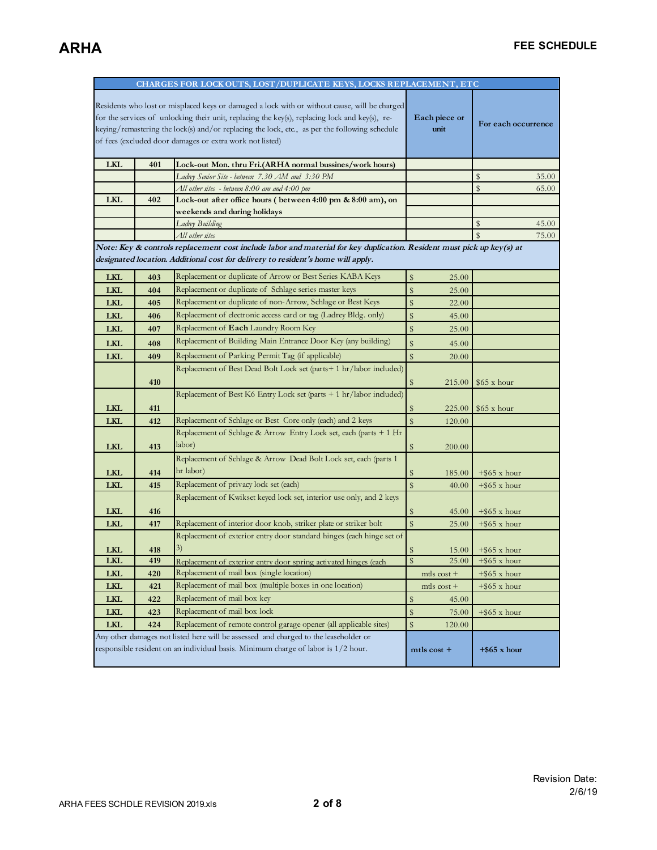| CHARGES FOR LOCK OUTS, LOST/DUPLICATE KEYS, LOCKS REPLACEMENT, ETC                                                                                                                                                                                                                                                                                           |     |                                                                                                                                                                                                           |                         |                              |
|--------------------------------------------------------------------------------------------------------------------------------------------------------------------------------------------------------------------------------------------------------------------------------------------------------------------------------------------------------------|-----|-----------------------------------------------------------------------------------------------------------------------------------------------------------------------------------------------------------|-------------------------|------------------------------|
| Residents who lost or misplaced keys or damaged a lock with or without cause, will be charged<br>for the services of unlocking their unit, replacing the key(s), replacing lock and key(s), re-<br>keying/remastering the lock(s) and/or replacing the lock, etc., as per the following schedule<br>of fees (excluded door damages or extra work not listed) |     |                                                                                                                                                                                                           | Each piece or<br>unit   | For each occurrence          |
| <b>LKL</b>                                                                                                                                                                                                                                                                                                                                                   | 401 | Lock-out Mon. thru Fri.(ARHA normal bussines/work hours)                                                                                                                                                  |                         |                              |
|                                                                                                                                                                                                                                                                                                                                                              |     | Ladrey Senior Site - between 7.30 AM and 3:30 PM                                                                                                                                                          |                         | \$<br>35.00                  |
|                                                                                                                                                                                                                                                                                                                                                              |     | All other sites - between 8:00 am and 4:00 pm                                                                                                                                                             |                         | \$<br>65.00                  |
| <b>LKL</b>                                                                                                                                                                                                                                                                                                                                                   | 402 | Lock-out after office hours (between 4:00 pm & 8:00 am), on                                                                                                                                               |                         |                              |
|                                                                                                                                                                                                                                                                                                                                                              |     | weekends and during holidays                                                                                                                                                                              |                         |                              |
|                                                                                                                                                                                                                                                                                                                                                              |     | Ladrey Building                                                                                                                                                                                           |                         | \$<br>45.00<br>$\mathbf{\$}$ |
|                                                                                                                                                                                                                                                                                                                                                              |     | All other sites                                                                                                                                                                                           |                         | 75.00                        |
|                                                                                                                                                                                                                                                                                                                                                              |     | Note: Key & controls replacement cost include labor and material for key duplication. Resident must pick up key(s) at<br>designated location. Additional cost for delivery to resident's home will apply. |                         |                              |
| <b>LKL</b>                                                                                                                                                                                                                                                                                                                                                   | 403 | Replacement or duplicate of Arrow or Best Series KABA Keys                                                                                                                                                | \$<br>25.00             |                              |
| <b>LKL</b>                                                                                                                                                                                                                                                                                                                                                   | 404 | Replacement or duplicate of Schlage series master keys                                                                                                                                                    | $\$$<br>25.00           |                              |
| <b>LKL</b>                                                                                                                                                                                                                                                                                                                                                   | 405 | Replacement or duplicate of non-Arrow, Schlage or Best Keys                                                                                                                                               | $\$$<br>22.00           |                              |
| <b>LKL</b>                                                                                                                                                                                                                                                                                                                                                   | 406 | Replacement of electronic access card or tag (Ladrey Bldg. only)                                                                                                                                          | \$<br>45.00             |                              |
| <b>LKL</b>                                                                                                                                                                                                                                                                                                                                                   | 407 | Replacement of <b>Each</b> Laundry Room Key                                                                                                                                                               | $\$$<br>25.00           |                              |
| <b>LKL</b>                                                                                                                                                                                                                                                                                                                                                   | 408 | Replacement of Building Main Entrance Door Key (any building)                                                                                                                                             | $\mathbf{\$}$<br>45.00  |                              |
| <b>LKL</b>                                                                                                                                                                                                                                                                                                                                                   | 409 | Replacement of Parking Permit Tag (if applicable)                                                                                                                                                         | $\mathbb{S}$<br>20.00   |                              |
|                                                                                                                                                                                                                                                                                                                                                              | 410 | Replacement of Best Dead Bolt Lock set (parts+1 hr/labor included)                                                                                                                                        | $\$$<br>215.00          | \$65 x hour                  |
| <b>LKL</b>                                                                                                                                                                                                                                                                                                                                                   | 411 | Replacement of Best K6 Entry Lock set (parts $+1$ hr/labor included)                                                                                                                                      | $\sqrt[6]{3}$<br>225.00 | \$65 x hour                  |
| <b>LKL</b>                                                                                                                                                                                                                                                                                                                                                   | 412 | Replacement of Schlage or Best Core only (each) and 2 keys                                                                                                                                                | $\mathbf{\$}$<br>120.00 |                              |
| <b>LKL</b>                                                                                                                                                                                                                                                                                                                                                   | 413 | Replacement of Schlage & Arrow Entry Lock set, each (parts + 1 Hr<br>labor)                                                                                                                               | $\$$<br>200.00          |                              |
| <b>LKL</b>                                                                                                                                                                                                                                                                                                                                                   | 414 | Replacement of Schlage & Arrow Dead Bolt Lock set, each (parts 1<br>hr labor)                                                                                                                             | $\$\$<br>185.00         | $+$ \$65 x hour              |
| <b>LKL</b>                                                                                                                                                                                                                                                                                                                                                   | 415 | Replacement of privacy lock set (each)                                                                                                                                                                    | $\mathbb{S}$<br>40.00   | $+$ \$65 x hour              |
|                                                                                                                                                                                                                                                                                                                                                              |     | Replacement of Kwikset keyed lock set, interior use only, and 2 keys                                                                                                                                      |                         |                              |
| <b>LKL</b>                                                                                                                                                                                                                                                                                                                                                   | 416 |                                                                                                                                                                                                           | $\sqrt[6]{3}$<br>45.00  | $+$ \$65 x hour              |
| <b>LKL</b>                                                                                                                                                                                                                                                                                                                                                   | 417 | Replacement of interior door knob, striker plate or striker bolt                                                                                                                                          | $\mathbf{\$}$<br>25.00  | $+$ \$65 x hour              |
|                                                                                                                                                                                                                                                                                                                                                              |     | Replacement of exterior entry door standard hinges (each hinge set of                                                                                                                                     |                         |                              |
| <b>LKL</b>                                                                                                                                                                                                                                                                                                                                                   | 418 | 3)                                                                                                                                                                                                        | $\sqrt[6]{3}$<br>15.00  | $+$ \$65 x hour              |
| <b>LKL</b>                                                                                                                                                                                                                                                                                                                                                   | 419 | Replacement of exterior entry door spring activated hinges (each                                                                                                                                          | \$<br>25.00             | $+\$ 65 x hour               |
| <b>LKL</b>                                                                                                                                                                                                                                                                                                                                                   | 420 | Replacement of mail box (single location)                                                                                                                                                                 | mtls $\cos t +$         | $+$ \$65 x hour              |
| <b>LKL</b>                                                                                                                                                                                                                                                                                                                                                   | 421 | Replacement of mail box (multiple boxes in one location)                                                                                                                                                  | mtls $\cos t +$         | $+$ \$65 x hour              |
| <b>LKL</b>                                                                                                                                                                                                                                                                                                                                                   | 422 | Replacement of mail box key                                                                                                                                                                               | \$<br>45.00             |                              |
| <b>LKL</b>                                                                                                                                                                                                                                                                                                                                                   | 423 | Replacement of mail box lock                                                                                                                                                                              | \$<br>75.00             | $+$ \$65 x hour              |
| <b>LKL</b>                                                                                                                                                                                                                                                                                                                                                   | 424 | Replacement of remote control garage opener (all applicable sites)                                                                                                                                        | $\$$<br>120.00          |                              |
|                                                                                                                                                                                                                                                                                                                                                              |     | Any other damages not listed here will be assessed and charged to the leaseholder or<br>responsible resident on an individual basis. Minimum charge of labor is 1/2 hour.                                 | mtls cost +             | $+$ \$65 x hour              |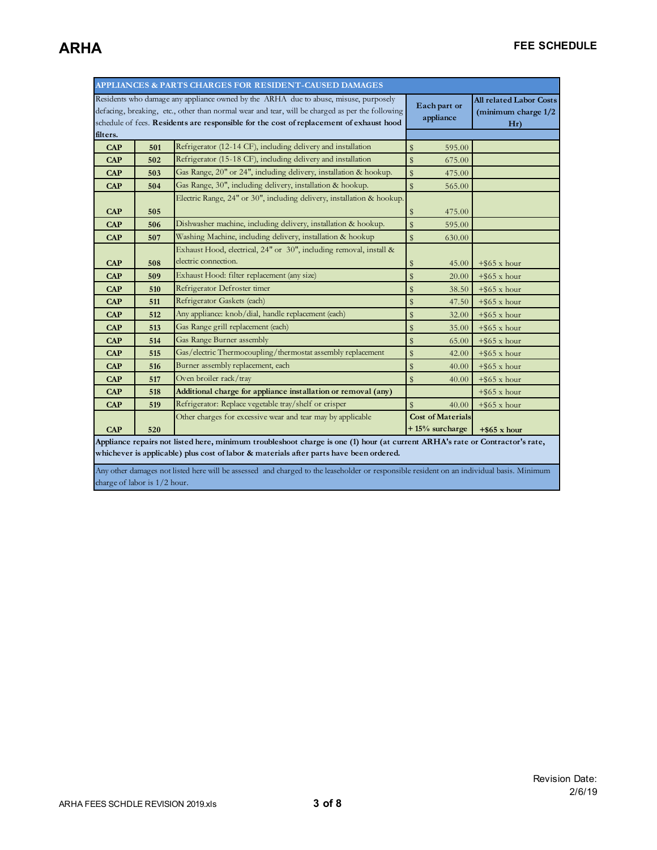| APPLIANCES & PARTS CHARGES FOR RESIDENT-CAUSED DAMAGES                                                                                                                                                                                                                             |     |                                                                        |                                            |                                                              |  |
|------------------------------------------------------------------------------------------------------------------------------------------------------------------------------------------------------------------------------------------------------------------------------------|-----|------------------------------------------------------------------------|--------------------------------------------|--------------------------------------------------------------|--|
| Residents who damage any appliance owned by the ARHA due to abuse, misuse, purposely<br>defacing, breaking, etc., other than normal wear and tear, will be charged as per the following<br>schedule of fees. Residents are responsible for the cost of replacement of exhaust hood |     |                                                                        | Each part or<br>appliance                  | <b>All related Labor Costs</b><br>(minimum charge 1/2<br>Hr) |  |
| filters.                                                                                                                                                                                                                                                                           |     |                                                                        |                                            |                                                              |  |
| <b>CAP</b>                                                                                                                                                                                                                                                                         | 501 | Refrigerator (12-14 CF), including delivery and installation           | \$<br>595.00                               |                                                              |  |
| <b>CAP</b>                                                                                                                                                                                                                                                                         | 502 | Refrigerator (15-18 CF), including delivery and installation           | $\mathbb{S}$<br>675.00                     |                                                              |  |
| <b>CAP</b>                                                                                                                                                                                                                                                                         | 503 | Gas Range, 20" or 24", including delivery, installation & hookup.      | \$<br>475.00                               |                                                              |  |
| <b>CAP</b>                                                                                                                                                                                                                                                                         | 504 | Gas Range, 30", including delivery, installation & hookup.             | \$<br>565.00                               |                                                              |  |
| <b>CAP</b>                                                                                                                                                                                                                                                                         | 505 | Electric Range, 24" or 30", including delivery, installation & hookup. | 475.00<br>\$                               |                                                              |  |
| <b>CAP</b>                                                                                                                                                                                                                                                                         | 506 | Dishwasher machine, including delivery, installation & hookup.         | $\mathbf{\hat{S}}$<br>595.00               |                                                              |  |
| <b>CAP</b>                                                                                                                                                                                                                                                                         | 507 | Washing Machine, including delivery, installation & hookup             | $\mathbf{\hat{S}}$<br>630.00               |                                                              |  |
|                                                                                                                                                                                                                                                                                    |     | Exhaust Hood, electrical, 24" or 30", including removal, install &     |                                            |                                                              |  |
| <b>CAP</b>                                                                                                                                                                                                                                                                         | 508 | electric connection.                                                   | \$<br>45.00                                | $+$ \$65 x hour                                              |  |
| <b>CAP</b>                                                                                                                                                                                                                                                                         | 509 | Exhaust Hood: filter replacement (any size)                            | \$<br>20.00                                | $+$ \$65 x hour                                              |  |
| <b>CAP</b>                                                                                                                                                                                                                                                                         | 510 | Refrigerator Defroster timer                                           | \$<br>38.50                                | $+$ \$65 x hour                                              |  |
| <b>CAP</b>                                                                                                                                                                                                                                                                         | 511 | Refrigerator Gaskets (each)                                            | \$<br>47.50                                | $+$ \$65 x hour                                              |  |
| <b>CAP</b>                                                                                                                                                                                                                                                                         | 512 | Any appliance: knob/dial, handle replacement (each)                    | \$<br>32.00                                | $+$ \$65 x hour                                              |  |
| <b>CAP</b>                                                                                                                                                                                                                                                                         | 513 | Gas Range grill replacement (each)                                     | \$<br>35.00                                | $+$ \$65 x hour                                              |  |
| <b>CAP</b>                                                                                                                                                                                                                                                                         | 514 | Gas Range Burner assembly                                              | \$<br>65.00                                | $+$ \$65 x hour                                              |  |
| <b>CAP</b>                                                                                                                                                                                                                                                                         | 515 | Gas/electric Thermocoupling/thermostat assembly replacement            | \$<br>42.00                                | $+$ \$65 x hour                                              |  |
| <b>CAP</b>                                                                                                                                                                                                                                                                         | 516 | Burner assembly replacement, each                                      | \$<br>40.00                                | $+$ \$65 x hour                                              |  |
| <b>CAP</b>                                                                                                                                                                                                                                                                         | 517 | Oven broiler rack/tray                                                 | $\mathbf{\hat{S}}$<br>40.00                | $+$ \$65 x hour                                              |  |
| <b>CAP</b>                                                                                                                                                                                                                                                                         | 518 | Additional charge for appliance installation or removal (any)          |                                            | $+$ \$65 x hour                                              |  |
| <b>CAP</b>                                                                                                                                                                                                                                                                         | 519 | Refrigerator: Replace vegetable tray/shelf or crisper                  | $\frac{4}{3}$<br>40.00                     | $+$ \$65 x hour                                              |  |
| CAP                                                                                                                                                                                                                                                                                | 520 | Other charges for excessive wear and tear may by applicable            | <b>Cost of Materials</b><br>+15% surcharge | $+$ \$65 x hour                                              |  |
| Appliance repairs not listed here, minimum troubleshoot charge is one (1) hour (at current ARHA's rate or Contractor's rate,                                                                                                                                                       |     |                                                                        |                                            |                                                              |  |
| whichever is applicable) plus cost of labor & materials after parts have been ordered.                                                                                                                                                                                             |     |                                                                        |                                            |                                                              |  |
| Any other damages not listed here will be assessed and charged to the leaseholder or responsible resident on an individual basis. Minimum                                                                                                                                          |     |                                                                        |                                            |                                                              |  |

charge of labor is  $1/2$  hour.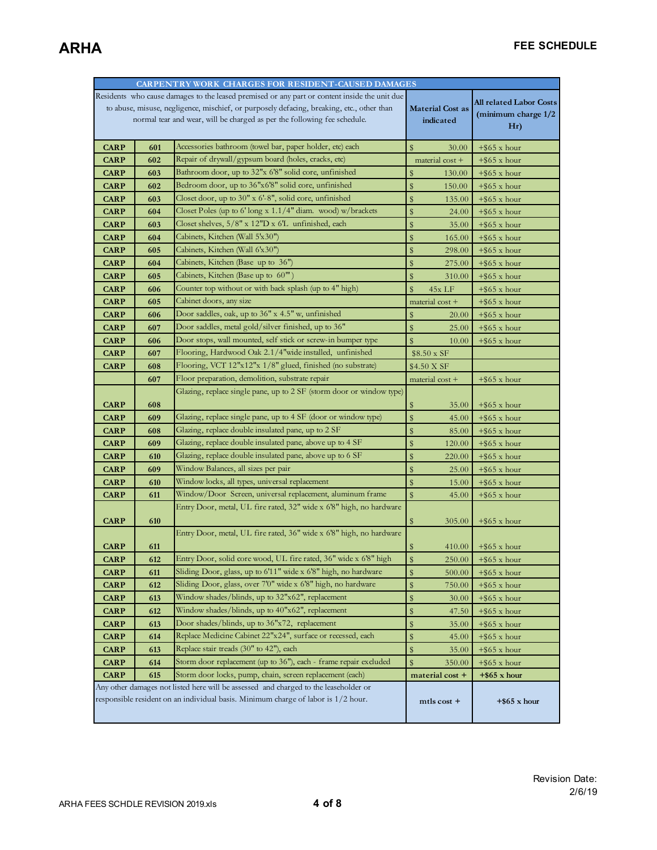| CARPENTRY WORK CHARGES FOR RESIDENT-CAUSED DAMAGES                                                                                                                        |                                                                          |                                                                                                        |                               |                                |
|---------------------------------------------------------------------------------------------------------------------------------------------------------------------------|--------------------------------------------------------------------------|--------------------------------------------------------------------------------------------------------|-------------------------------|--------------------------------|
|                                                                                                                                                                           |                                                                          | Residents who cause damages to the leased premised or any part or content inside the unit due          |                               | <b>All related Labor Costs</b> |
| to abuse, misuse, negligence, mischief, or purposely defacing, breaking, etc., other than                                                                                 |                                                                          |                                                                                                        | <b>Material Cost as</b>       | (minimum charge 1/2            |
|                                                                                                                                                                           | normal tear and wear, will be charged as per the following fee schedule. |                                                                                                        |                               | Hr)                            |
|                                                                                                                                                                           |                                                                          |                                                                                                        |                               |                                |
| <b>CARP</b>                                                                                                                                                               | 601                                                                      | Accessories bathroom (towel bar, paper holder, etc) each                                               | $\mathbf{\$}$<br><b>30.00</b> | $+$ \$65 x hour                |
| <b>CARP</b>                                                                                                                                                               | 602                                                                      | Repair of drywall/gypsum board (holes, cracks, etc)                                                    | material cost +               | $+$ \$65 x hour                |
| <b>CARP</b>                                                                                                                                                               | 603                                                                      | Bathroom door, up to 32"x 6'8" solid core, unfinished                                                  | \$<br>130.00                  | $+$ \$65 x hour                |
| <b>CARP</b>                                                                                                                                                               | 602                                                                      | Bedroom door, up to 36"x6'8" solid core, unfinished                                                    | \$<br>150.00                  | $+$ \$65 x hour                |
| <b>CARP</b>                                                                                                                                                               | 603                                                                      | Closet door, up to 30" x 6'-8", solid core, unfinished                                                 | $\$\$<br>135.00               | $+$ \$65 x hour                |
| <b>CARP</b>                                                                                                                                                               | 604                                                                      | Closet Poles (up to 6'long x 1.1/4" diam. wood) w/brackets                                             | \$<br>24.00                   | $+$ \$65 x hour                |
| <b>CARP</b>                                                                                                                                                               | 603                                                                      | Closet shelves, 5/8" x 12"D x 6'L unfinished, each                                                     | \$<br>35.00                   | $+$ \$65 x hour                |
| <b>CARP</b>                                                                                                                                                               | 604                                                                      | Cabinets, Kitchen (Wall 5'x30")                                                                        | \$<br>165.00                  | $+$ \$65 x hour                |
| <b>CARP</b>                                                                                                                                                               | 605                                                                      | Cabinets, Kitchen (Wall 6'x30")                                                                        | \$<br>298.00                  | $+$ \$65 x hour                |
| <b>CARP</b>                                                                                                                                                               | 604                                                                      | Cabinets, Kitchen (Base up to 36")                                                                     | \$<br>275.00                  | $+$ \$65 x hour                |
| <b>CARP</b>                                                                                                                                                               | 605                                                                      | Cabinets, Kitchen (Base up to $60^{\prime\prime\prime}$ )                                              | \$<br>310.00                  | $+$ \$65 x hour                |
| <b>CARP</b>                                                                                                                                                               | 606                                                                      | Counter top without or with back splash (up to 4" high)                                                | \$<br>45x LF                  | $+$ \$65 x hour                |
| <b>CARP</b>                                                                                                                                                               | 605                                                                      | Cabinet doors, any size                                                                                | material cost +               | $+$ \$65 x hour                |
| <b>CARP</b>                                                                                                                                                               | 606                                                                      | Door saddles, oak, up to 36" x 4.5" w, unfinished                                                      | \$<br><b>20.00</b>            | $+$ \$65 x hour                |
| <b>CARP</b>                                                                                                                                                               | 607                                                                      | Door saddles, metal gold/silver finished, up to 36"                                                    | \$<br>25.00                   | $+$ \$65 x hour                |
| <b>CARP</b>                                                                                                                                                               | 606                                                                      | Door stops, wall mounted, self stick or screw-in bumper type                                           | $\mathbb{S}$<br>10.00         | $+$ \$65 x hour                |
| <b>CARP</b>                                                                                                                                                               | 607                                                                      | Flooring, Hardwood Oak 2.1/4"wide installed, unfinished                                                | \$8.50 x SF                   |                                |
| <b>CARP</b>                                                                                                                                                               | 608                                                                      | Flooring, VCT 12"x12"x 1/8" glued, finished (no substrate)                                             | \$4.50 X SF                   |                                |
|                                                                                                                                                                           | 607                                                                      | Floor preparation, demolition, substrate repair                                                        | material $cost +$             | $+$ \$65 x hour                |
|                                                                                                                                                                           |                                                                          | Glazing, replace single pane, up to 2 SF (storm door or window type)                                   |                               |                                |
| <b>CARP</b>                                                                                                                                                               | 608                                                                      |                                                                                                        | \$<br>35.00                   | $+$ \$65 x hour                |
| <b>CARP</b>                                                                                                                                                               | 609                                                                      | Glazing, replace single pane, up to 4 SF (door or window type)                                         | \$<br>45.00                   | $+$ \$65 x hour                |
| <b>CARP</b>                                                                                                                                                               | 608                                                                      | Glazing, replace double insulated pane, up to 2 SF                                                     | \$<br>85.00                   | $+$ \$65 x hour                |
| <b>CARP</b>                                                                                                                                                               | 609                                                                      | Glazing, replace double insulated pane, above up to 4 SF                                               | \$<br>120.00                  | $+$ \$65 x hour                |
| <b>CARP</b>                                                                                                                                                               | 610                                                                      | Glazing, replace double insulated pane, above up to 6 SF                                               | \$<br>220.00                  | $+$ \$65 x hour                |
| <b>CARP</b>                                                                                                                                                               | 609                                                                      | Window Balances, all sizes per pair                                                                    | \$<br>25.00                   | $+$ \$65 x hour                |
| <b>CARP</b>                                                                                                                                                               | 610                                                                      | Window locks, all types, universal replacement                                                         | $\$\$<br>15.00                | $+$ \$65 x hour                |
| <b>CARP</b>                                                                                                                                                               | 611                                                                      | Window/Door Screen, universal replacement, aluminum frame                                              | $\hat{\mathbb{Z}}$<br>45.00   | $+$ \$65 x hour                |
|                                                                                                                                                                           |                                                                          | Entry Door, metal, UL fire rated, 32" wide x 6'8" high, no hardware                                    |                               |                                |
| <b>CARP</b>                                                                                                                                                               | 610                                                                      |                                                                                                        | \$<br>305.00                  | $+$ \$65 x hour                |
|                                                                                                                                                                           |                                                                          | Entry Door, metal, UL fire rated, 36" wide x 6'8" high, no hardware                                    |                               |                                |
| <b>CARP</b>                                                                                                                                                               | 611                                                                      |                                                                                                        | 410.00                        | $+$ \$65 x hour                |
| <b>CARP</b>                                                                                                                                                               | 612                                                                      | Entry Door, solid core wood, UL fire rated, 36" wide x 6'8" high                                       | \$<br>250.00                  | $+$ \$65 x hour                |
| <b>CARP</b>                                                                                                                                                               | 611                                                                      | Sliding Door, glass, up to 6'11" wide x 6'8" high, no hardware                                         | $\$\,$<br>500.00              | $+$ \$65 x hour                |
| <b>CARP</b>                                                                                                                                                               | 612                                                                      | Sliding Door, glass, over 7'0" wide x 6'8" high, no hardware                                           | \$<br>750.00                  | $+$ \$65 x hour                |
| <b>CARP</b>                                                                                                                                                               | 613                                                                      | Window shades/blinds, up to 32"x62", replacement                                                       | \$<br>30.00                   | $+$ \$65 x hour                |
| <b>CARP</b>                                                                                                                                                               | 612                                                                      | Window shades/blinds, up to 40"x62", replacement                                                       | \$<br>47.50                   | $+$ \$65 x hour                |
| <b>CARP</b>                                                                                                                                                               | 613                                                                      | Door shades/blinds, up to 36"x72, replacement                                                          | \$<br>35.00                   | $+$ \$65 x hour                |
| <b>CARP</b>                                                                                                                                                               | 614                                                                      | Replace Medicine Cabinet 22"x24", surface or recessed, each<br>Replace stair treads (30" to 42"), each | \$<br>45.00                   | $+$ \$65 x hour                |
| <b>CARP</b>                                                                                                                                                               | 613                                                                      |                                                                                                        | \$<br>35.00                   | $+$ \$65 x hour                |
| <b>CARP</b>                                                                                                                                                               | 614                                                                      | Storm door replacement (up to 36"), each - frame repair excluded                                       | \$<br>350.00                  | $+$ \$65 x hour                |
| <b>CARP</b>                                                                                                                                                               | 615                                                                      | Storm door locks, pump, chain, screen replacement (each)                                               | material cost +               | $+$ \$65 x hour                |
| Any other damages not listed here will be assessed and charged to the leaseholder or<br>responsible resident on an individual basis. Minimum charge of labor is 1/2 hour. |                                                                          |                                                                                                        |                               |                                |
|                                                                                                                                                                           |                                                                          |                                                                                                        | mtls cost +                   | $+$ \$65 x hour                |
|                                                                                                                                                                           |                                                                          |                                                                                                        |                               |                                |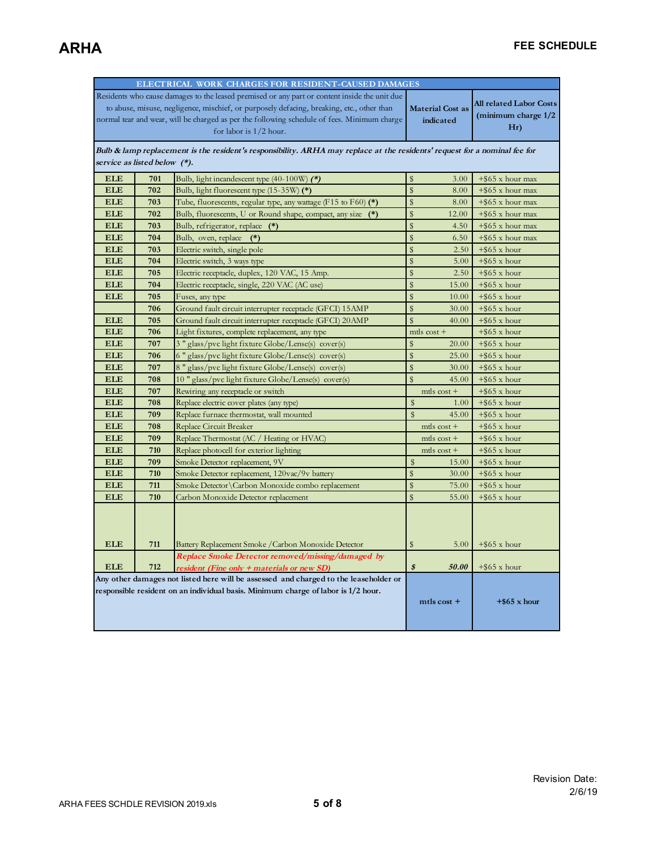|                                                                                   | ELECTRICAL WORK CHARGES FOR RESIDENT-CAUSED DAMAGES                                           |                                                                                                                            |                             |                                |  |  |
|-----------------------------------------------------------------------------------|-----------------------------------------------------------------------------------------------|----------------------------------------------------------------------------------------------------------------------------|-----------------------------|--------------------------------|--|--|
|                                                                                   | Residents who cause damages to the leased premised or any part or content inside the unit due |                                                                                                                            |                             |                                |  |  |
|                                                                                   |                                                                                               | to abuse, misuse, negligence, mischief, or purposely defacing, breaking, etc., other than                                  | <b>Material Cost as</b>     | <b>All related Labor Costs</b> |  |  |
|                                                                                   |                                                                                               | normal tear and wear, will be charged as per the following schedule of fees. Minimum charge                                | indicated                   | (minimum charge 1/2            |  |  |
|                                                                                   |                                                                                               | for labor is $1/2$ hour.                                                                                                   |                             | Hr)                            |  |  |
|                                                                                   |                                                                                               |                                                                                                                            |                             |                                |  |  |
|                                                                                   |                                                                                               | Bulb & lamp replacement is the resident's responsibility. ARHA may replace at the residents' request for a nominal fee for |                             |                                |  |  |
| service as listed below (*).                                                      |                                                                                               |                                                                                                                            |                             |                                |  |  |
| <b>ELE</b>                                                                        | 701                                                                                           | Bulb, light incandescent type $(40-100W)$ (*)                                                                              | \$<br>3.00                  | $+$ \$65 x hour max            |  |  |
| <b>ELE</b>                                                                        | 702                                                                                           | Bulb, light fluorescent type (15-35W) (*)                                                                                  | $\$\$<br>8.00               | $+$ \$65 x hour max            |  |  |
| <b>ELE</b>                                                                        | 703                                                                                           | Tube, fluorescents, regular type, any wattage (F15 to F60) (*)                                                             | $\$$<br>8.00                | $+$ \$65 x hour max            |  |  |
| <b>ELE</b>                                                                        | 702                                                                                           | Bulb, fluorescents, U or Round shape, compact, any size (*)                                                                | $\mathbf{\hat{S}}$<br>12.00 | $+$ \$65 x hour max            |  |  |
| <b>ELE</b>                                                                        | 703                                                                                           | Bulb, refrigerator, replace (*)                                                                                            | $\$\$<br>4.50               | $+$ \$65 x hour max            |  |  |
| <b>ELE</b>                                                                        | 704                                                                                           | Bulb, oven, replace<br>$(*)$                                                                                               | $\mathbf{\hat{S}}$<br>6.50  | $+$ \$65 x hour max            |  |  |
| <b>ELE</b>                                                                        | 703                                                                                           | Electric switch, single pole                                                                                               | $\mathbf{\hat{S}}$<br>2.50  | $+$ \$65 x hour                |  |  |
| <b>ELE</b>                                                                        | 704                                                                                           | Electric switch, 3 ways type                                                                                               | $\$$<br>5.00                | $+$ \$65 x hour                |  |  |
| <b>ELE</b>                                                                        | 705                                                                                           | Electric receptacle, duplex, 120 VAC, 15 Amp.                                                                              | $\mathbf{\hat{S}}$<br>2.50  | $+$ \$65 x hour                |  |  |
| <b>ELE</b>                                                                        | 704                                                                                           | Electric receptacle, single, 220 VAC (AC use)                                                                              | \$<br>15.00                 | $+$ \$65 x hour                |  |  |
| <b>ELE</b>                                                                        | 705                                                                                           | Fuses, any type                                                                                                            | $\frac{4}{3}$<br>10.00      | $+$ \$65 x hour                |  |  |
|                                                                                   | 706                                                                                           | Ground fault circuit interrupter receptacle (GFCI) 15AMP                                                                   | $\mathbf{\hat{S}}$<br>30.00 | $+$ \$65 x hour                |  |  |
| <b>ELE</b>                                                                        | 705                                                                                           | Ground fault circuit interrupter receptacle (GFCI) 20AMP                                                                   | $\$\$<br>40.00              | $+$ \$65 x hour                |  |  |
| <b>ELE</b>                                                                        | 706                                                                                           | Light fixtures, complete replacement, any type                                                                             | $m$ tls $cost$ +            | $+$ \$65 x hour                |  |  |
| <b>ELE</b>                                                                        | 707                                                                                           | 3 " glass/pvc light fixture Globe/Lense(s) cover(s)                                                                        | $\frac{4}{3}$<br>20.00      | $+$ \$65 x hour                |  |  |
| <b>ELE</b>                                                                        | 706                                                                                           | 6 " glass/pvc light fixture Globe/Lense(s) cover(s)                                                                        | $\mathbf{\hat{S}}$<br>25.00 | $+$ \$65 x hour                |  |  |
| <b>ELE</b>                                                                        | 707                                                                                           | 8 " glass/pvc light fixture Globe/Lense(s) cover(s)                                                                        | $\mathbf{\hat{S}}$<br>30.00 | $+$ \$65 x hour                |  |  |
| <b>ELE</b>                                                                        | 708                                                                                           | 10 " glass/pvc light fixture Globe/Lense(s) cover(s)                                                                       | $\mathbf{\$}$<br>45.00      | $+$ \$65 x hour                |  |  |
| <b>ELE</b>                                                                        | 707                                                                                           | Rewiring any receptacle or switch                                                                                          | $m$ tls $cost$ +            | $+$ \$65 x hour                |  |  |
| <b>ELE</b>                                                                        | 708                                                                                           | Replace electric cover plates (any type)                                                                                   | $\hat{\mathbf{S}}$<br>1.00  | $+$ \$65 x hour                |  |  |
| <b>ELE</b>                                                                        | 709                                                                                           | Replace furnace thermostat, wall mounted                                                                                   | $\mathsf{s}$<br>45.00       | $+$ \$65 x hour                |  |  |
| <b>ELE</b>                                                                        | 708                                                                                           | Replace Circuit Breaker                                                                                                    | mtls $cost +$               | $+$ \$65 x hour                |  |  |
| <b>ELE</b>                                                                        | 709                                                                                           | Replace Thermostat (AC / Heating or HVAC)                                                                                  | $m$ tls $cost$ +            | $+$ \$65 x hour                |  |  |
| <b>ELE</b>                                                                        | 710                                                                                           | Replace photocell for exterior lighting                                                                                    | mtls $cost +$               | $+$ \$65 x hour                |  |  |
| <b>ELE</b>                                                                        | 709                                                                                           | Smoke Detector replacement, 9V                                                                                             | $\mathsf{s}$<br>15.00       | $+$ \$65 x hour                |  |  |
| <b>ELE</b>                                                                        | 710                                                                                           | Smoke Detector replacement, 120vac/9v battery                                                                              | $\$$<br>30.00               | $+$ \$65 x hour                |  |  |
| <b>ELE</b>                                                                        | 711                                                                                           | Smoke Detector \Carbon Monoxide combo replacement                                                                          | $\mathbf{\hat{S}}$<br>75.00 | $+$ \$65 x hour                |  |  |
| <b>ELE</b>                                                                        | 710                                                                                           | Carbon Monoxide Detector replacement                                                                                       | $\$$<br>55.00               | $+$ \$65 x hour                |  |  |
| <b>ELE</b>                                                                        | 711                                                                                           | Battery Replacement Smoke / Carbon Monoxide Detector<br>Replace Smoke Detector removed/missing/damaged by                  | $\$$<br>5.00                | $+$ \$65 x hour                |  |  |
| <b>ELE</b>                                                                        | 712                                                                                           | resident (Fine only + materials or new SD)                                                                                 | $\boldsymbol{s}$<br>50.00   | $+$ \$65 x hour                |  |  |
|                                                                                   |                                                                                               | Any other damages not listed here will be assessed and charged to the leaseholder or                                       |                             |                                |  |  |
| responsible resident on an individual basis. Minimum charge of labor is 1/2 hour. |                                                                                               |                                                                                                                            | $m$ tls cost +              | $+$ \$65 x hour                |  |  |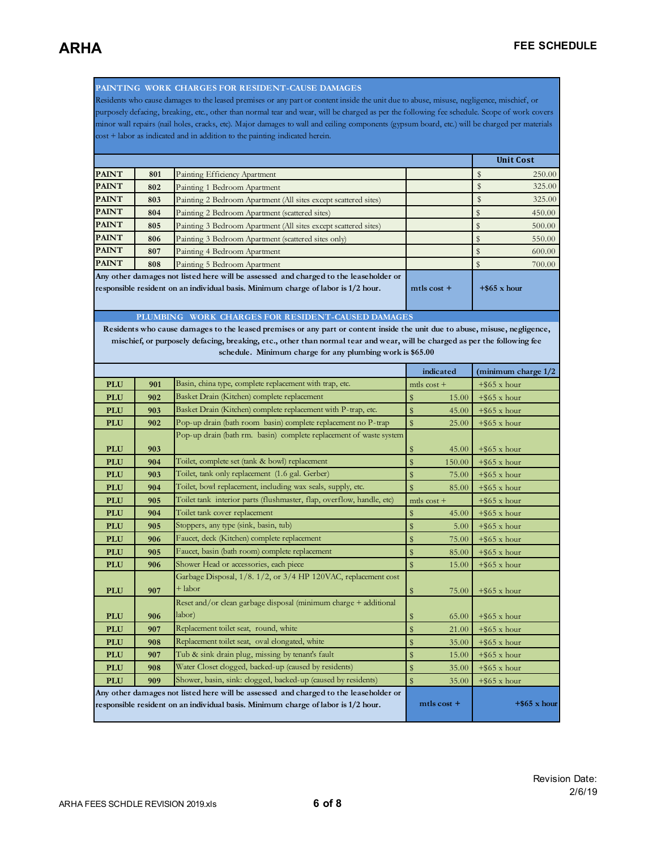**PAINTING WORK CHARGES FOR RESIDENT-CAUSE DAMAGES** 

Residents who cause damages to the leased premises or any part or content inside the unit due to abuse, misuse, negligence, mischief, or purposely defacing, breaking, etc., other than normal tear and wear, will be charged as per the following fee schedule. Scope of work covers minor wall repairs (nail holes, cracks, etc). Major damages to wall and ceiling components (gypsum board, etc.) will be charged per materials cost + labor as indicated and in addition to the painting indicated herein.

|                                                                                                     |     |                                                                 | <b>Unit Cost</b> |  |        |
|-----------------------------------------------------------------------------------------------------|-----|-----------------------------------------------------------------|------------------|--|--------|
| <b>PAINT</b>                                                                                        | 801 | Painting Efficiency Apartment                                   |                  |  | 250.00 |
| <b>PAINT</b>                                                                                        | 802 | Painting 1 Bedroom Apartment                                    |                  |  | 325.00 |
| <b>PAINT</b>                                                                                        | 803 | Painting 2 Bedroom Apartment (All sites except scattered sites) |                  |  | 325.00 |
| <b>PAINT</b>                                                                                        | 804 | Painting 2 Bedroom Apartment (scattered sites)                  |                  |  | 450.00 |
| <b>PAINT</b>                                                                                        | 805 | Painting 3 Bedroom Apartment (All sites except scattered sites) |                  |  | 500.00 |
| <b>PAINT</b>                                                                                        | 806 | Painting 3 Bedroom Apartment (scattered sites only)             |                  |  | 550.00 |
| <b>PAINT</b>                                                                                        | 807 | Painting 4 Bedroom Apartment                                    |                  |  | 600.00 |
| <b>PAINT</b>                                                                                        | 808 | Painting 5 Bedroom Apartment                                    |                  |  | 700.00 |
| Any other damages not listed here will be assessed and charged to the leaseholder or                |     |                                                                 |                  |  |        |
| responsible resident on an individual basis. Minimum charge of labor is 1/2 hour.<br>$m$ tls cost + |     |                                                                 | $+$ \$65 x hour  |  |        |
|                                                                                                     |     |                                                                 |                  |  |        |

**PLUMBING WORK CHARGES FOR RESIDENT-CAUSED DAMAGES** 

**Residents who cause damages to the leased premises or any part or content inside the unit due to abuse, misuse, negligence, mischief, or purposely defacing, breaking, etc., other than normal tear and wear, will be charged as per the following fee schedule. Minimum charge for any plumbing work is \$65.00** 

|                                                                                                                                                                           |     |                                                                             | indicated                        | (minimum charge 1/2 |
|---------------------------------------------------------------------------------------------------------------------------------------------------------------------------|-----|-----------------------------------------------------------------------------|----------------------------------|---------------------|
| <b>PLU</b>                                                                                                                                                                | 901 | Basin, china type, complete replacement with trap, etc.                     | mtls $cost +$                    | $+$ \$65 x hour     |
| <b>PLU</b>                                                                                                                                                                | 902 | Basket Drain (Kitchen) complete replacement                                 | $\mathbf{\$}$<br>15.00           | $+$ \$65 x hour     |
| <b>PLU</b>                                                                                                                                                                | 903 | Basket Drain (Kitchen) complete replacement with P-trap, etc.               | $\$\,$<br>45.00                  | $+$ \$65 x hour     |
| <b>PLU</b>                                                                                                                                                                | 902 | Pop-up drain (bath room basin) complete replacement no P-trap               | $\mathbb{S}$<br>25.00            | $+$ \$65 x hour     |
|                                                                                                                                                                           |     | Pop-up drain (bath rm. basin) complete replacement of waste system          |                                  |                     |
| <b>PLU</b>                                                                                                                                                                | 903 |                                                                             | \$<br>45.00                      | $+$ \$65 x hour     |
| <b>PLU</b>                                                                                                                                                                | 904 | Toilet, complete set (tank & bowl) replacement                              | $\$\,$<br>150.00                 | $+$ \$65 x hour     |
| <b>PLU</b>                                                                                                                                                                | 903 | Toilet, tank only replacement (1.6 gal. Gerber)                             | $\mathbf{\$}$<br>75.00           | $+$ \$65 x hour     |
| <b>PLU</b>                                                                                                                                                                | 904 | Toilet, bowl replacement, including wax seals, supply, etc.                 | $\$\,$<br>85.00                  | $+$ \$65 x hour     |
| <b>PLU</b>                                                                                                                                                                | 905 | Toilet tank interior parts (flushmaster, flap, overflow, handle, etc)       | $m$ tls $cost$ +                 | $+$ \$65 x hour     |
| <b>PLU</b>                                                                                                                                                                | 904 | Toilet tank cover replacement                                               | \$<br>45.00                      | $+$ \$65 x hour     |
| <b>PLU</b>                                                                                                                                                                | 905 | Stoppers, any type (sink, basin, tub)                                       | $\$$<br>5.00                     | $+$ \$65 x hour     |
| <b>PLU</b>                                                                                                                                                                | 906 | Faucet, deck (Kitchen) complete replacement                                 | $\$\,$<br>75.00                  | $+$ \$65 x hour     |
| <b>PLU</b>                                                                                                                                                                | 905 | Faucet, basin (bath room) complete replacement                              | $\$\,$<br>85.00                  | $+$ \$65 x hour     |
| <b>PLU</b>                                                                                                                                                                | 906 | Shower Head or accessories, each piece                                      | \$<br>15.00                      | $+$ \$65 x hour     |
| <b>PLU</b>                                                                                                                                                                | 907 | Garbage Disposal, 1/8. 1/2, or 3/4 HP 120VAC, replacement cost<br>$+$ labor | \$<br>75.00                      | $+$ \$65 x hour     |
|                                                                                                                                                                           |     | Reset and/or clean garbage disposal (minimum charge + additional            |                                  |                     |
| <b>PLU</b>                                                                                                                                                                | 906 | labor)                                                                      | \$<br>65.00                      | $+$ \$65 x hour     |
| <b>PLU</b>                                                                                                                                                                | 907 | Replacement toilet seat, round, white                                       | $\sqrt[6]{\frac{1}{2}}$<br>21.00 | $+$ \$65 x hour     |
| <b>PLU</b>                                                                                                                                                                | 908 | Replacement toilet seat, oval elongated, white                              | $\mathbf{\$}$<br>35.00           | $+$ \$65 x hour     |
| <b>PLU</b>                                                                                                                                                                | 907 | Tub & sink drain plug, missing by tenant's fault                            | $\$\,$<br>15.00                  | $+$ \$65 x hour     |
| <b>PLU</b>                                                                                                                                                                | 908 | Water Closet clogged, backed-up (caused by residents)                       | $\$\,$<br>35.00                  | $+$ \$65 x hour     |
| <b>PLU</b>                                                                                                                                                                | 909 | Shower, basin, sink: clogged, backed-up (caused by residents)               | $\frac{4}{3}$<br>35.00           | $+$ \$65 x hour     |
|                                                                                                                                                                           |     |                                                                             |                                  |                     |
| Any other damages not listed here will be assessed and charged to the leaseholder or<br>responsible resident on an individual basis. Minimum charge of labor is 1/2 hour. |     |                                                                             | $m$ tls cost +                   | $+$ \$65 x hour     |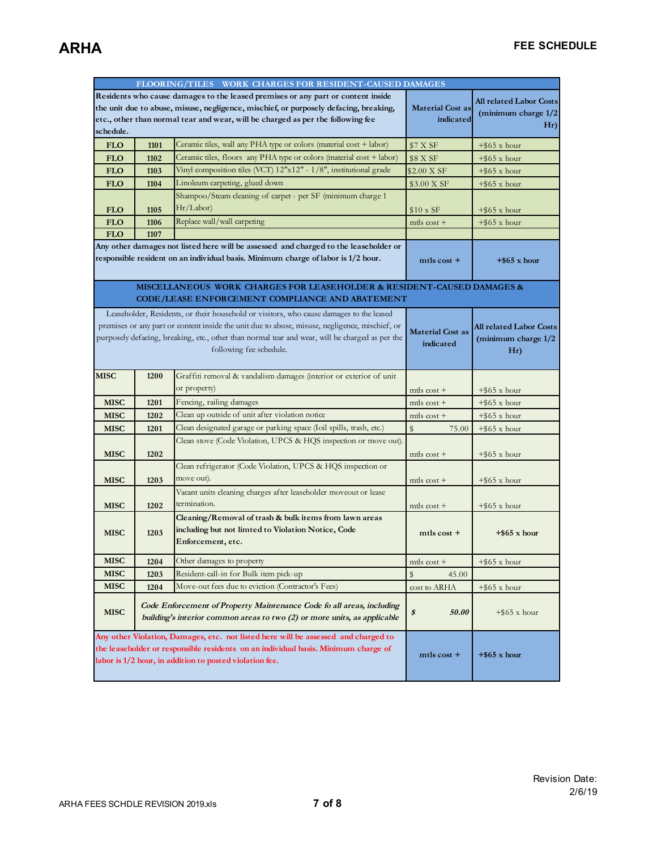|                                                                                  | FLOORING/TILES WORK CHARGES FOR RESIDENT-CAUSED DAMAGES |                                                                                                 |                                      |                                |  |
|----------------------------------------------------------------------------------|---------------------------------------------------------|-------------------------------------------------------------------------------------------------|--------------------------------------|--------------------------------|--|
| Residents who cause damages to the leased premises or any part or content inside |                                                         |                                                                                                 |                                      |                                |  |
|                                                                                  |                                                         | the unit due to abuse, misuse, negligence, mischief, or purposely defacing, breaking,           | <b>Material Cost as</b>              | <b>All related Labor Costs</b> |  |
|                                                                                  |                                                         | etc., other than normal tear and wear, will be charged as per the following fee                 | indicated                            | (minimum charge 1/2            |  |
| schedule.                                                                        |                                                         |                                                                                                 |                                      | Hr)                            |  |
| <b>FLO</b>                                                                       | 1101                                                    | Ceramic tiles, wall any PHA type or colors (material cost + labor)                              | \$7 X SF                             | $+$ \$65 x hour                |  |
| <b>FLO</b>                                                                       | 1102                                                    | Ceramic tiles, floors any PHA type or colors (material cost + labor)                            | \$8 X SF                             | $+$ \$65 x hour                |  |
| <b>FLO</b>                                                                       | 1103                                                    | Vinyl composition tiles (VCT) 12"x12" - 1/8", institutional grade                               | \$2.00 X SF                          | $+$ \$65 x hour                |  |
| <b>FLO</b>                                                                       | 1104                                                    | Linoleum carpeting, glued down                                                                  | \$3.00 X SF                          | $+$ \$65 x hour                |  |
|                                                                                  |                                                         | Shampoo/Steam cleaning of carpet - per SF (minimum charge 1)                                    |                                      |                                |  |
| <b>FLO</b>                                                                       | 1105                                                    | Hr/Labor)                                                                                       | $$10 \times SF$                      | $+$ \$65 x hour                |  |
| <b>FLO</b>                                                                       | 1106                                                    | Replace wall/wall carpeting                                                                     | mtls $cost +$                        | $+$ \$65 x hour                |  |
| <b>FLO</b>                                                                       | 1107                                                    |                                                                                                 |                                      |                                |  |
|                                                                                  |                                                         | Any other damages not listed here will be assessed and charged to the leaseholder or            |                                      |                                |  |
|                                                                                  |                                                         | responsible resident on an individual basis. Minimum charge of labor is 1/2 hour.               | $m$ tls cost +                       | $+$ \$65 x hour                |  |
|                                                                                  |                                                         |                                                                                                 |                                      |                                |  |
|                                                                                  |                                                         | MISCELLANEOUS WORK CHARGES FOR LEASEHOLDER & RESIDENT-CAUSED DAMAGES &                          |                                      |                                |  |
|                                                                                  |                                                         | CODE/LEASE ENFORCEMENT COMPLIANCE AND ABATEMENT                                                 |                                      |                                |  |
|                                                                                  |                                                         | Leaseholder, Residents, or their household or visitors, who cause damages to the leased         |                                      |                                |  |
|                                                                                  |                                                         | premises or any part or content inside the unit due to abuse, misuse, negligence, mischief, or  |                                      | <b>All related Labor Costs</b> |  |
|                                                                                  |                                                         | purposely defacing, breaking, etc., other than normal tear and wear, will be charged as per the | <b>Material Cost as</b><br>indicated | (minimum charge 1/2            |  |
|                                                                                  |                                                         | following fee schedule.                                                                         |                                      | Hr)                            |  |
|                                                                                  |                                                         |                                                                                                 |                                      |                                |  |
| <b>MISC</b>                                                                      | 1200                                                    | Graffiti removal & vandalism damages (interior or exterior of unit                              |                                      |                                |  |
|                                                                                  |                                                         | or property)                                                                                    | mtls $\cos t +$                      | $+$ \$65 x hour                |  |
| <b>MISC</b>                                                                      | 1201                                                    | Fencing, railing damages                                                                        | mtls $cost +$                        | $+$ \$65 x hour                |  |
| <b>MISC</b>                                                                      | 1202                                                    | Clean up outside of unit after violation notice                                                 | mtls $cost +$                        | $+$ \$65 x hour                |  |
| <b>MISC</b>                                                                      | 1201                                                    | Clean designated garage or parking space (Ioil spills, trash, etc.)                             | $\mathsf{\$}$<br>75.00               | $+$ \$65 x hour                |  |
|                                                                                  |                                                         | Clean stove (Code Violation, UPCS & HQS inspection or move out).                                |                                      |                                |  |
| <b>MISC</b>                                                                      | 1202                                                    |                                                                                                 | mtls $\cos t +$                      | $+$ \$65 x hour                |  |
|                                                                                  |                                                         | Clean refrigerator (Code Violation, UPCS & HQS inspection or                                    |                                      |                                |  |
| <b>MISC</b>                                                                      | 1203                                                    | move out).                                                                                      | mtls $\cos t +$                      | $+$ \$65 x hour                |  |
|                                                                                  |                                                         | Vacant units cleaning charges after leaseholder moveout or lease                                |                                      |                                |  |
| <b>MISC</b>                                                                      | 1202                                                    | termination.                                                                                    | mtls $\cos t +$                      | $+$ \$65 x hour                |  |
|                                                                                  |                                                         | Cleaning/Removal of trash & bulk items from lawn areas                                          |                                      |                                |  |
| <b>MISC</b>                                                                      | 1203                                                    | including but not limted to Violation Notice, Code                                              | $m$ tls cost +                       | $+$ \$65 x hour                |  |
|                                                                                  |                                                         | Enforcement, etc.                                                                               |                                      |                                |  |
|                                                                                  |                                                         |                                                                                                 |                                      |                                |  |
| MISC                                                                             | 1204                                                    | Other damages to property                                                                       | mtls cost +                          | $+$ \$65 x hour                |  |
| <b>MISC</b>                                                                      | 1203                                                    | Resident-call-in for Bulk item pick-up                                                          | \$<br>45.00                          |                                |  |
| <b>MISC</b>                                                                      | 1204                                                    | Move-out fees due to eviction (Contractor's Fees)                                               | cost to ARHA                         | $+$ \$65 x hour                |  |
|                                                                                  |                                                         | Code Enforcement of Property Maintenance Code fo all areas, including                           |                                      |                                |  |
| <b>MISC</b>                                                                      |                                                         | building's interior common areas to two (2) or more units, as applicable                        | \$<br>50.00                          | $+$ \$65 x hour                |  |
|                                                                                  |                                                         |                                                                                                 |                                      |                                |  |
|                                                                                  |                                                         | Any other Violation, Damages, etc. not listed here will be assessed and charged to              |                                      |                                |  |
|                                                                                  |                                                         | the leaseholder or responsible residents on an individual basis. Minimum charge of              | $m$ tls cost +                       | $+$ \$65 x hour                |  |
|                                                                                  | labor is 1/2 hour, in addition to posted violation fee. |                                                                                                 |                                      |                                |  |
|                                                                                  |                                                         |                                                                                                 |                                      |                                |  |